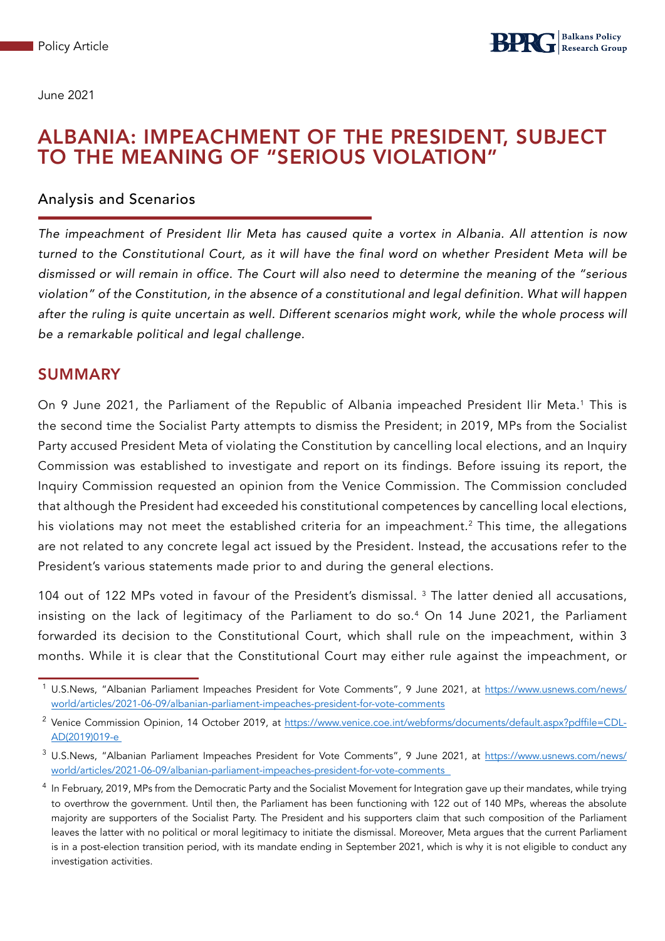June 2021

## ALBANIA: IMPEACHMENT OF THE PRESIDENT, SUBJECT TO THE MEANING OF "SERIOUS VIOLATION"

#### Analysis and Scenarios

*The impeachment of President Ilir Meta has caused quite a vortex in Albania. All attention is now turned to the Constitutional Court, as it will have the final word on whether President Meta will be dismissed or will remain in office. The Court will also need to determine the meaning of the "serious violation" of the Constitution, in the absence of a constitutional and legal definition. What will happen*  after the ruling is quite uncertain as well. Different scenarios might work, while the whole process will *be a remarkable political and legal challenge.* 

### SUMMARY

On 9 June 2021, the Parliament of the Republic of Albania impeached President Ilir Meta.<sup>1</sup> This is the second time the Socialist Party attempts to dismiss the President; in 2019, MPs from the Socialist Party accused President Meta of violating the Constitution by cancelling local elections, and an Inquiry Commission was established to investigate and report on its findings. Before issuing its report, the Inquiry Commission requested an opinion from the Venice Commission. The Commission concluded that although the President had exceeded his constitutional competences by cancelling local elections, his violations may not meet the established criteria for an impeachment.<sup>2</sup> This time, the allegations are not related to any concrete legal act issued by the President. Instead, the accusations refer to the President's various statements made prior to and during the general elections.

104 out of 122 MPs voted in favour of the President's dismissal.<sup>3</sup> The latter denied all accusations, insisting on the lack of legitimacy of the Parliament to do so.4 On 14 June 2021, the Parliament forwarded its decision to the Constitutional Court, which shall rule on the impeachment, within 3 months. While it is clear that the Constitutional Court may either rule against the impeachment, or

<sup>&</sup>lt;sup>1</sup> U.S.News, "Albanian Parliament Impeaches President for Vote Comments", 9 June 2021, at [https://www.usnews.com/news/](https://www.usnews.com/news/world/articles/2021-06-09/albanian-parliament-impeaches-president-for-vote-comments) [world/articles/2021-06-09/albanian-parliament-impeaches-president-for-vote-comments](https://www.usnews.com/news/world/articles/2021-06-09/albanian-parliament-impeaches-president-for-vote-comments)

<sup>&</sup>lt;sup>2</sup> Venice Commission Opinion, 14 October 2019, at [https://www.venice.coe.int/webforms/documents/default.aspx?pdffile=CDL-](https://www.venice.coe.int/webforms/documents/default.aspx?pdffile=CDL-AD(2019)019-e)[AD\(2019\)019-e](https://www.venice.coe.int/webforms/documents/default.aspx?pdffile=CDL-AD(2019)019-e) 

<sup>3</sup> U.S.News, "Albanian Parliament Impeaches President for Vote Comments", 9 June 2021, at [https://www.usnews.com/news/](https://www.usnews.com/news/world/articles/2021-06-09/albanian-parliament-impeaches-president-for-vote-comments) [world/articles/2021-06-09/albanian-parliament-impeaches-president-for-vote-comments](https://www.usnews.com/news/world/articles/2021-06-09/albanian-parliament-impeaches-president-for-vote-comments)

<sup>&</sup>lt;sup>4</sup> In February, 2019, MPs from the Democratic Party and the Socialist Movement for Integration gave up their mandates, while trying to overthrow the government. Until then, the Parliament has been functioning with 122 out of 140 MPs, whereas the absolute majority are supporters of the Socialist Party. The President and his supporters claim that such composition of the Parliament leaves the latter with no political or moral legitimacy to initiate the dismissal. Moreover, Meta argues that the current Parliament is in a post-election transition period, with its mandate ending in September 2021, which is why it is not eligible to conduct any investigation activities.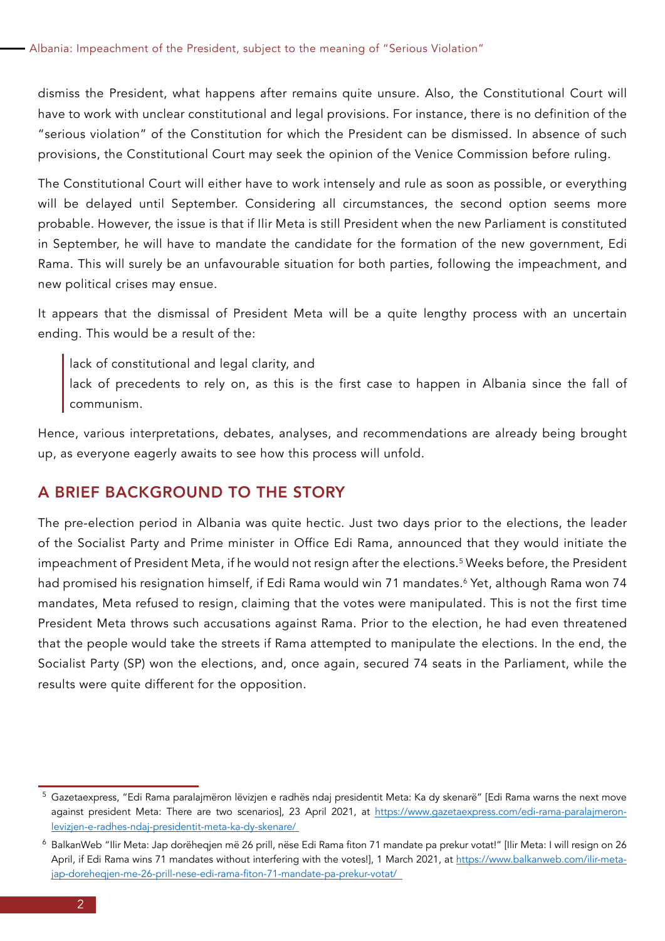dismiss the President, what happens after remains quite unsure. Also, the Constitutional Court will have to work with unclear constitutional and legal provisions. For instance, there is no definition of the "serious violation" of the Constitution for which the President can be dismissed. In absence of such provisions, the Constitutional Court may seek the opinion of the Venice Commission before ruling.

The Constitutional Court will either have to work intensely and rule as soon as possible, or everything will be delayed until September. Considering all circumstances, the second option seems more probable. However, the issue is that if Ilir Meta is still President when the new Parliament is constituted in September, he will have to mandate the candidate for the formation of the new government, Edi Rama. This will surely be an unfavourable situation for both parties, following the impeachment, and new political crises may ensue.

It appears that the dismissal of President Meta will be a quite lengthy process with an uncertain ending. This would be a result of the:

lack of constitutional and legal clarity, and

lack of precedents to rely on, as this is the first case to happen in Albania since the fall of communism.

Hence, various interpretations, debates, analyses, and recommendations are already being brought up, as everyone eagerly awaits to see how this process will unfold.

### A BRIEF BACKGROUND TO THE STORY

The pre-election period in Albania was quite hectic. Just two days prior to the elections, the leader of the Socialist Party and Prime minister in Office Edi Rama, announced that they would initiate the impeachment of President Meta, if he would not resign after the elections.<sup>5</sup> Weeks before, the President had promised his resignation himself, if Edi Rama would win 71 mandates.<sup>6</sup> Yet, although Rama won 74 mandates, Meta refused to resign, claiming that the votes were manipulated. This is not the first time President Meta throws such accusations against Rama. Prior to the election, he had even threatened that the people would take the streets if Rama attempted to manipulate the elections. In the end, the Socialist Party (SP) won the elections, and, once again, secured 74 seats in the Parliament, while the results were quite different for the opposition.

<sup>5</sup> Gazetaexpress, "Edi Rama paralajmëron lëvizjen e radhës ndaj presidentit Meta: Ka dy skenarë" [Edi Rama warns the next move against president Meta: There are two scenarios], 23 April 2021, at [https://www.gazetaexpress.com/edi-rama-paralajmeron](https://www.gazetaexpress.com/edi-rama-paralajmeron-levizjen-e-radhes-ndaj-presidentit-meta-ka-dy-skenare/)[levizjen-e-radhes-ndaj-presidentit-meta-ka-dy-skenare/](https://www.gazetaexpress.com/edi-rama-paralajmeron-levizjen-e-radhes-ndaj-presidentit-meta-ka-dy-skenare/)

<sup>6</sup> BalkanWeb "Ilir Meta: Jap dorëheqjen më 26 prill, nëse Edi Rama fiton 71 mandate pa prekur votat!" [Ilir Meta: I will resign on 26 April, if Edi Rama wins 71 mandates without interfering with the votes!], 1 March 2021, at [https://www.balkanweb.com/ilir-meta](https://www.balkanweb.com/ilir-meta-jap-doreheqjen-me-26-prill-nese-edi-rama-fiton-71-mandate-pa-prekur-votat/)[jap-doreheqjen-me-26-prill-nese-edi-rama-fiton-71-mandate-pa-prekur-votat/](https://www.balkanweb.com/ilir-meta-jap-doreheqjen-me-26-prill-nese-edi-rama-fiton-71-mandate-pa-prekur-votat/)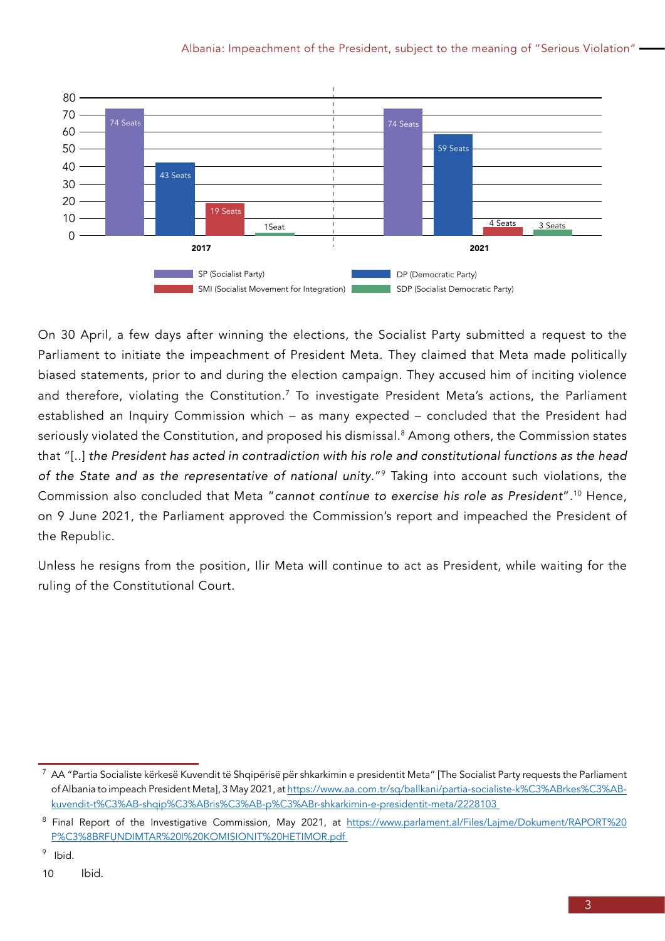

On 30 April, a few days after winning the elections, the Socialist Party submitted a request to the Parliament to initiate the impeachment of President Meta. They claimed that Meta made politically biased statements, prior to and during the election campaign. They accused him of inciting violence and therefore, violating the Constitution.<sup>7</sup> To investigate President Meta's actions, the Parliament established an Inquiry Commission which – as many expected – concluded that the President had seriously violated the Constitution, and proposed his dismissal.<sup>8</sup> Among others, the Commission states that "[..] *the President has acted in contradiction with his role and constitutional functions as the head of the State and as the representative of national unity*."9 Taking into account such violations, the Commission also concluded that Meta "*cannot continue to exercise his role as President*".10 Hence, on 9 June 2021, the Parliament approved the Commission's report and impeached the President of the Republic.

Unless he resigns from the position, Ilir Meta will continue to act as President, while waiting for the ruling of the Constitutional Court.

 $^7$  AA "Partia Socialiste kërkesë Kuvendit të Shqipërisë për shkarkimin e presidentit Meta" [The Socialist Party requests the Parliament of Albania to impeach President Meta], 3 May 2021, at [https://www.aa.com.tr/sq/ballkani/partia-socialiste-k%C3%ABrkes%C3%AB](https://www.aa.com.tr/sq/ballkani/partia-socialiste-k%C3%ABrkes%C3%AB-kuvendit-t%C3%AB-shqip%C3%ABris%C3%AB-p%C3%ABr-shkarkimin-e-presidentit-meta/2228103)[kuvendit-t%C3%AB-shqip%C3%ABris%C3%AB-p%C3%ABr-shkarkimin-e-presidentit-meta/2228103](https://www.aa.com.tr/sq/ballkani/partia-socialiste-k%C3%ABrkes%C3%AB-kuvendit-t%C3%AB-shqip%C3%ABris%C3%AB-p%C3%ABr-shkarkimin-e-presidentit-meta/2228103) 

<sup>&</sup>lt;sup>8</sup> Final Report of the Investigative Commission, May 2021, at [https://www.parlament.al/Files/Lajme/Dokument/RAPORT%20](https://www.parlament.al/Files/Lajme/Dokument/RAPORT%20P%C3%8BRFUNDIMTAR%20I%20KOMISIONIT%20HETIMOR.pdf) [P%C3%8BRFUNDIMTAR%20I%20KOMISIONIT%20HETIMOR.pdf](https://www.parlament.al/Files/Lajme/Dokument/RAPORT%20P%C3%8BRFUNDIMTAR%20I%20KOMISIONIT%20HETIMOR.pdf)

<sup>9</sup> Ibid.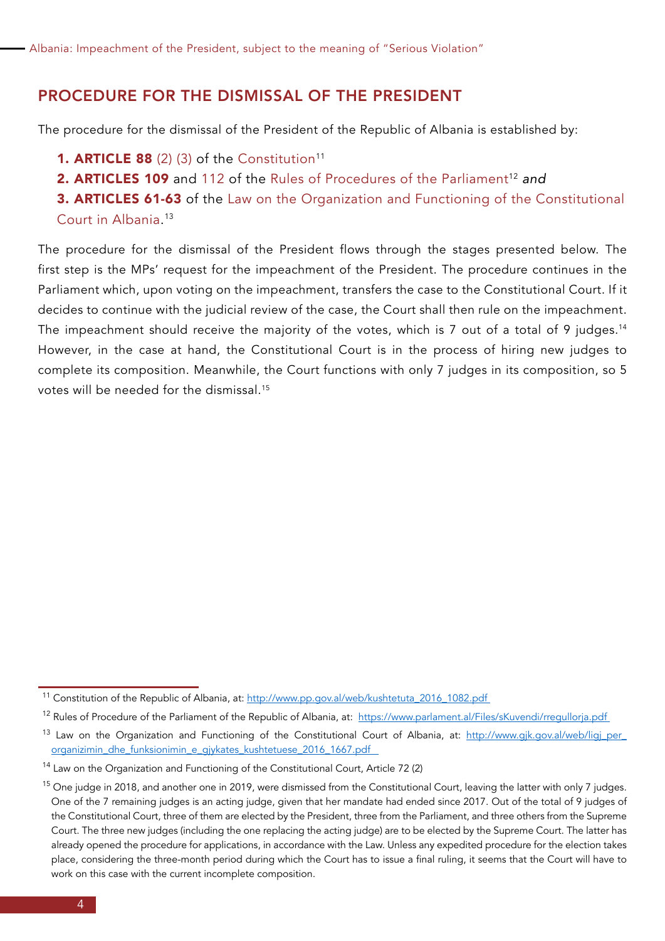#### PROCEDURE FOR THE DISMISSAL OF THE PRESIDENT

The procedure for the dismissal of the President of the Republic of Albania is established by:

- 1. ARTICLE 88 (2) (3) of the Constitution<sup>11</sup>
- 2. ARTICLES 109 and 112 of the Rules of Procedures of the Parliament<sup>12</sup> and
- 3. ARTICLES 61-63 of the Law on the Organization and Functioning of the Constitutional Court in Albania. 13

The procedure for the dismissal of the President flows through the stages presented below. The first step is the MPs' request for the impeachment of the President. The procedure continues in the Parliament which, upon voting on the impeachment, transfers the case to the Constitutional Court. If it decides to continue with the judicial review of the case, the Court shall then rule on the impeachment. The impeachment should receive the majority of the votes, which is 7 out of a total of 9 judges.<sup>14</sup> However, in the case at hand, the Constitutional Court is in the process of hiring new judges to complete its composition. Meanwhile, the Court functions with only 7 judges in its composition, so 5 votes will be needed for the dismissal.15

<sup>11</sup> Constitution of the Republic of Albania, at: [http://www.pp.gov.al/web/kushtetuta\\_2016\\_1082.pdf](http://www.pp.gov.al/web/kushtetuta_2016_1082.pdf)

<sup>&</sup>lt;sup>12</sup> Rules of Procedure of the Parliament of the Republic of Albania, at: https://www.parlament.al/Files/sKuvendi/rregullorja.pdf

<sup>13</sup> Law on the Organization and Functioning of the Constitutional Court of Albania, at: [http://www.gjk.gov.al/web/ligj\\_per\\_](http://www.gjk.gov.al/web/ligj_per_organizimin_dhe_funksionimin_e_gjykates_kushtetuese_2016_1667.pdf) [organizimin\\_dhe\\_funksionimin\\_e\\_gjykates\\_kushtetuese\\_2016\\_1667.pdf](http://www.gjk.gov.al/web/ligj_per_organizimin_dhe_funksionimin_e_gjykates_kushtetuese_2016_1667.pdf) 

<sup>&</sup>lt;sup>14</sup> Law on the Organization and Functioning of the Constitutional Court, Article 72 (2)

<sup>&</sup>lt;sup>15</sup> One judge in 2018, and another one in 2019, were dismissed from the Constitutional Court, leaving the latter with only 7 judges. One of the 7 remaining judges is an acting judge, given that her mandate had ended since 2017. Out of the total of 9 judges of the Constitutional Court, three of them are elected by the President, three from the Parliament, and three others from the Supreme Court. The three new judges (including the one replacing the acting judge) are to be elected by the Supreme Court. The latter has already opened the procedure for applications, in accordance with the Law. Unless any expedited procedure for the election takes place, considering the three-month period during which the Court has to issue a final ruling, it seems that the Court will have to work on this case with the current incomplete composition.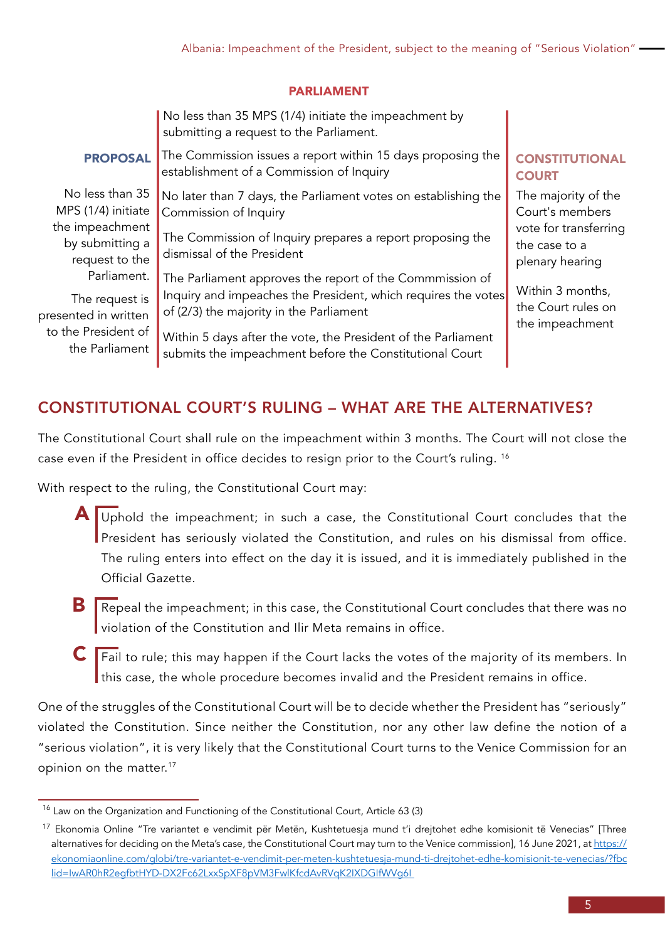#### PARLIAMENT

|                                                                                                | No less than 35 MPS (1/4) initiate the impeachment by<br>submitting a request to the Parliament.                                                                                                                                                                                                 |                                                           |
|------------------------------------------------------------------------------------------------|--------------------------------------------------------------------------------------------------------------------------------------------------------------------------------------------------------------------------------------------------------------------------------------------------|-----------------------------------------------------------|
| <b>PROPOSAL</b>                                                                                | The Commission issues a report within 15 days proposing the<br>establishment of a Commission of Inquiry                                                                                                                                                                                          | <b>CONSTITUTIONAL</b><br><b>COURT</b>                     |
| No less than 35<br>MPS (1/4) initiate                                                          | No later than 7 days, the Parliament votes on establishing the<br>Commission of Inquiry                                                                                                                                                                                                          | The majority of the<br>Court's members                    |
| the impeachment<br>by submitting a<br>request to the                                           | The Commission of Inquiry prepares a report proposing the<br>dismissal of the President                                                                                                                                                                                                          | vote for transferring<br>the case to a<br>plenary hearing |
| Parliament.<br>The request is<br>presented in written<br>to the President of<br>the Parliament | The Parliament approves the report of the Commmission of<br>Inquiry and impeaches the President, which requires the votes<br>of (2/3) the majority in the Parliament<br>Within 5 days after the vote, the President of the Parliament<br>submits the impeachment before the Constitutional Court | Within 3 months,<br>the Court rules on<br>the impeachment |

### CONSTITUTIONAL COURT'S RULING – WHAT ARE THE ALTERNATIVES?

The Constitutional Court shall rule on the impeachment within 3 months. The Court will not close the case even if the President in office decides to resign prior to the Court's ruling. 16

With respect to the ruling, the Constitutional Court may:

- $\overline{A}$  Uphold the impeachment; in such a case, the Constitutional Court concludes that the President has seriously violated the Constitution, and rules on his dismissal from office. The ruling enters into effect on the day it is issued, and it is immediately published in the Official Gazette.
- Repeal the impeachment; in this case, the Constitutional Court concludes that there was no violation of the Constitution and Ilir Meta remains in office. B
- $\mathsf{\textbf{C}}$   $\mathsf{\textbf{Fail}}$  to rule; this may happen if the Court lacks the votes of the majority of its members. In this case, the whole procedure becomes invalid and the President remains in office.

One of the struggles of the Constitutional Court will be to decide whether the President has "seriously" violated the Constitution. Since neither the Constitution, nor any other law define the notion of a "serious violation", it is very likely that the Constitutional Court turns to the Venice Commission for an opinion on the matter.<sup>17</sup>

 $16$  Law on the Organization and Functioning of the Constitutional Court, Article 63 (3)

<sup>&</sup>lt;sup>17</sup> Ekonomia Online "Tre variantet e vendimit për Metën, Kushtetuesja mund t'i drejtohet edhe komisionit të Venecias" [Three alternatives for deciding on the Meta's case, the Constitutional Court may turn to the Venice commission], 16 June 2021, at [https://](https://ekonomiaonline.com/globi/tre-variantet-e-vendimit-per-meten-kushtetuesja-mund-ti-drejtohet-edhe-komisionit-te-venecias/?fbclid=IwAR0hR2egfbtHYD-DX2Fc62LxxSpXF8pVM3FwlKfcdAvRVqK2IXDGIfWVg6I) [ekonomiaonline.com/globi/tre-variantet-e-vendimit-per-meten-kushtetuesja-mund-ti-drejtohet-edhe-komisionit-te-venecias/?fbc](https://ekonomiaonline.com/globi/tre-variantet-e-vendimit-per-meten-kushtetuesja-mund-ti-drejtohet-edhe-komisionit-te-venecias/?fbclid=IwAR0hR2egfbtHYD-DX2Fc62LxxSpXF8pVM3FwlKfcdAvRVqK2IXDGIfWVg6I) [lid=IwAR0hR2egfbtHYD-DX2Fc62LxxSpXF8pVM3FwlKfcdAvRVqK2IXDGIfWVg6I](https://ekonomiaonline.com/globi/tre-variantet-e-vendimit-per-meten-kushtetuesja-mund-ti-drejtohet-edhe-komisionit-te-venecias/?fbclid=IwAR0hR2egfbtHYD-DX2Fc62LxxSpXF8pVM3FwlKfcdAvRVqK2IXDGIfWVg6I)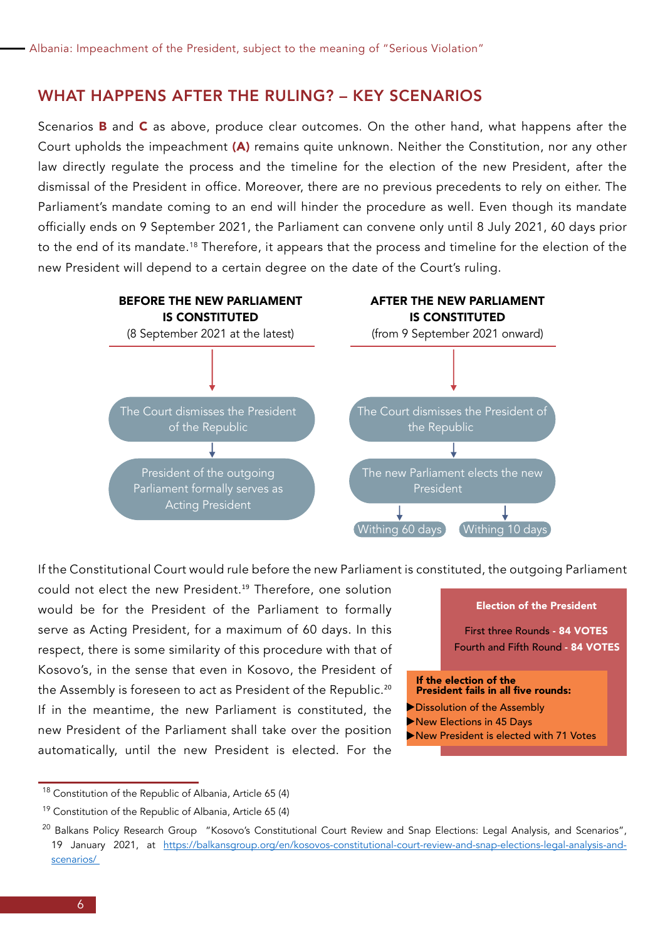#### WHAT HAPPENS AFTER THE RULING? – KEY SCENARIOS

Scenarios **B** and  $C$  as above, produce clear outcomes. On the other hand, what happens after the Court upholds the impeachment (A) remains quite unknown. Neither the Constitution, nor any other law directly regulate the process and the timeline for the election of the new President, after the dismissal of the President in office. Moreover, there are no previous precedents to rely on either. The Parliament's mandate coming to an end will hinder the procedure as well. Even though its mandate officially ends on 9 September 2021, the Parliament can convene only until 8 July 2021, 60 days prior to the end of its mandate.18 Therefore, it appears that the process and timeline for the election of the new President will depend to a certain degree on the date of the Court's ruling.



If the Constitutional Court would rule before the new Parliament is constituted, the outgoing Parliament

could not elect the new President.<sup>19</sup> Therefore, one solution would be for the President of the Parliament to formally serve as Acting President, for a maximum of 60 days. In this respect, there is some similarity of this procedure with that of Kosovo's, in the sense that even in Kosovo, the President of the Assembly is foreseen to act as President of the Republic.<sup>20</sup> If in the meantime, the new Parliament is constituted, the new President of the Parliament shall take over the position automatically, until the new President is elected. For the

First three Rounds - 84 VOTES Fourth and Fifth Round - 84 VOTES

If the election of the President fails in all five rounds:

- Dissolution of the Assembly
- New Elections in 45 Days
- New President is elected with 71 Votes

Election of the President

<sup>18</sup> Constitution of the Republic of Albania, Article 65 (4)

<sup>19</sup> Constitution of the Republic of Albania, Article 65 (4)

<sup>&</sup>lt;sup>20</sup> Balkans Policy Research Group "Kosovo's Constitutional Court Review and Snap Elections: Legal Analysis, and Scenarios", 19 January 2021, at [https://balkansgroup.org/en/kosovos-constitutional-court-review-and-snap-elections-legal-analysis-and](https://balkansgroup.org/en/kosovos-constitutional-court-review-and-snap-elections-legal-analysis-and-scenarios/)[scenarios/](https://balkansgroup.org/en/kosovos-constitutional-court-review-and-snap-elections-legal-analysis-and-scenarios/)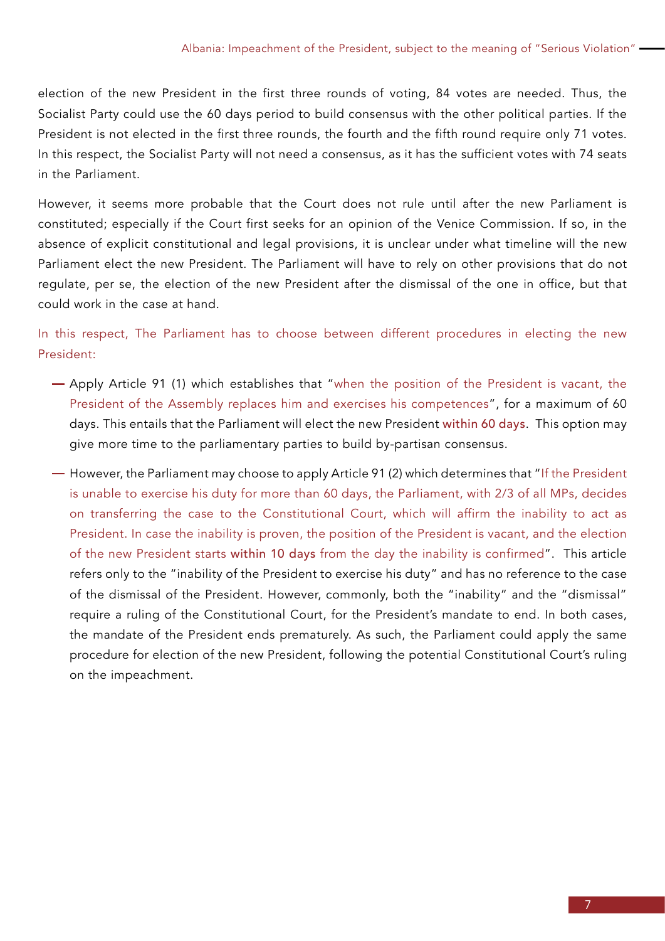election of the new President in the first three rounds of voting, 84 votes are needed. Thus, the Socialist Party could use the 60 days period to build consensus with the other political parties. If the President is not elected in the first three rounds, the fourth and the fifth round require only 71 votes. In this respect, the Socialist Party will not need a consensus, as it has the sufficient votes with 74 seats in the Parliament.

However, it seems more probable that the Court does not rule until after the new Parliament is constituted; especially if the Court first seeks for an opinion of the Venice Commission. If so, in the absence of explicit constitutional and legal provisions, it is unclear under what timeline will the new Parliament elect the new President. The Parliament will have to rely on other provisions that do not regulate, per se, the election of the new President after the dismissal of the one in office, but that could work in the case at hand.

In this respect, The Parliament has to choose between different procedures in electing the new President:

- Apply Article 91 (1) which establishes that "when the position of the President is vacant, the President of the Assembly replaces him and exercises his competences", for a maximum of 60 days. This entails that the Parliament will elect the new President within 60 days. This option may give more time to the parliamentary parties to build by-partisan consensus.
- $-$  However, the Parliament may choose to apply Article 91 (2) which determines that "If the President is unable to exercise his duty for more than 60 days, the Parliament, with 2/3 of all MPs, decides on transferring the case to the Constitutional Court, which will affirm the inability to act as President. In case the inability is proven, the position of the President is vacant, and the election of the new President starts within 10 days from the day the inability is confirmed". This article refers only to the "inability of the President to exercise his duty" and has no reference to the case of the dismissal of the President. However, commonly, both the "inability" and the "dismissal" require a ruling of the Constitutional Court, for the President's mandate to end. In both cases, the mandate of the President ends prematurely. As such, the Parliament could apply the same procedure for election of the new President, following the potential Constitutional Court's ruling on the impeachment.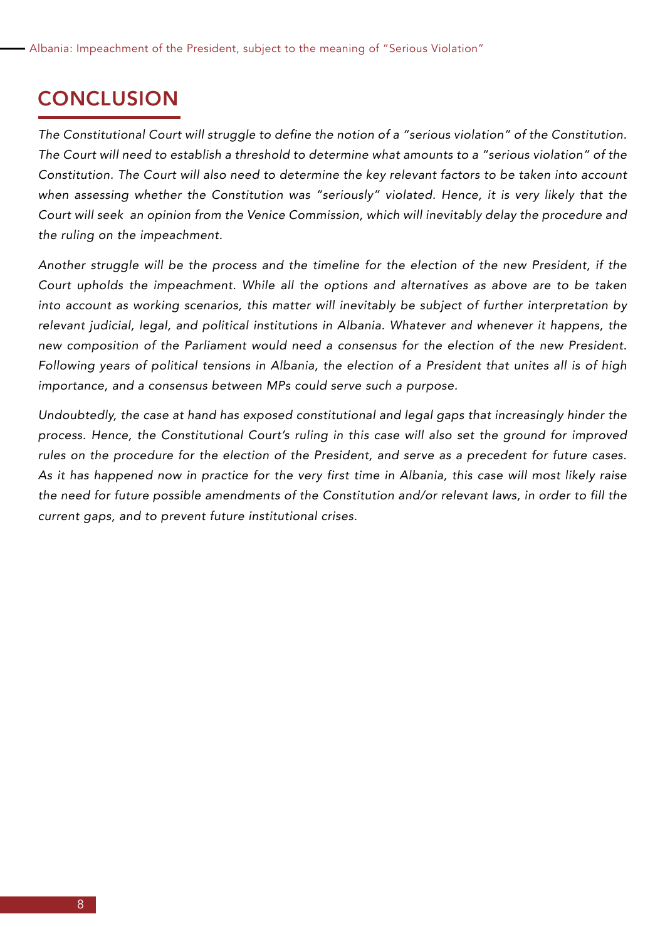# **CONCLUSION**

*The Constitutional Court will struggle to define the notion of a "serious violation" of the Constitution. The Court will need to establish a threshold to determine what amounts to a "serious violation" of the Constitution. The Court will also need to determine the key relevant factors to be taken into account when assessing whether the Constitution was "seriously" violated. Hence, it is very likely that the Court will seek an opinion from the Venice Commission, which will inevitably delay the procedure and the ruling on the impeachment.*

*Another struggle will be the process and the timeline for the election of the new President, if the Court upholds the impeachment. While all the options and alternatives as above are to be taken into account as working scenarios, this matter will inevitably be subject of further interpretation by relevant judicial, legal, and political institutions in Albania. Whatever and whenever it happens, the new composition of the Parliament would need a consensus for the election of the new President. Following years of political tensions in Albania, the election of a President that unites all is of high importance, and a consensus between MPs could serve such a purpose.* 

*Undoubtedly, the case at hand has exposed constitutional and legal gaps that increasingly hinder the process. Hence, the Constitutional Court's ruling in this case will also set the ground for improved rules on the procedure for the election of the President, and serve as a precedent for future cases. As it has happened now in practice for the very first time in Albania, this case will most likely raise the need for future possible amendments of the Constitution and/or relevant laws, in order to fill the current gaps, and to prevent future institutional crises.*